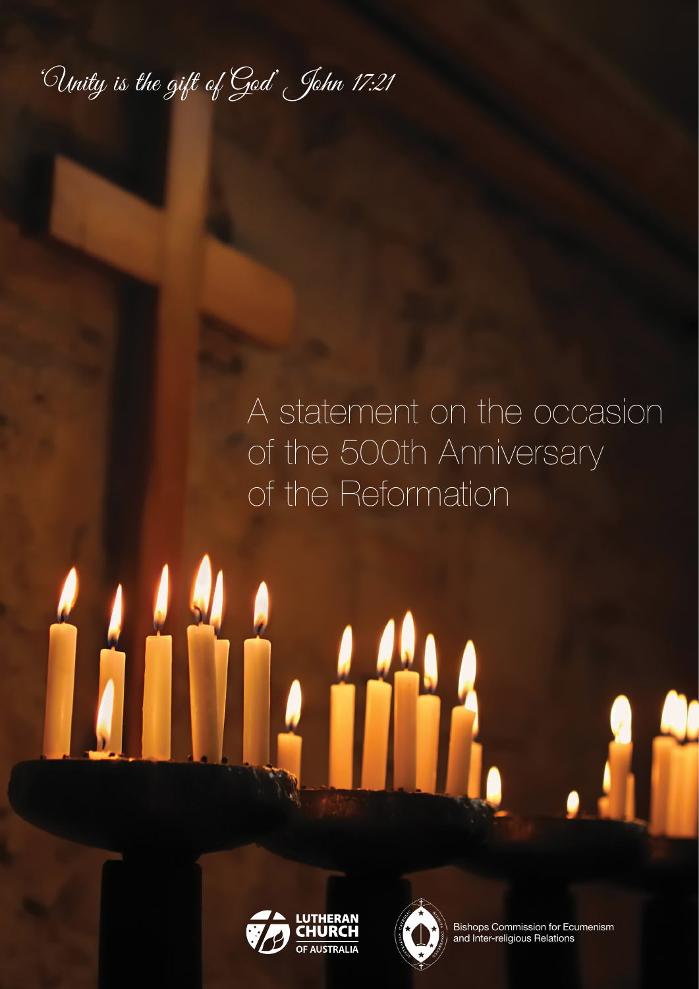'Unity is the gift of God' John 17:21

## A statement on the occasion of the 500th Anniversary of the Reformation





Bishops Commission for Ecumenism and Inter-religious Relations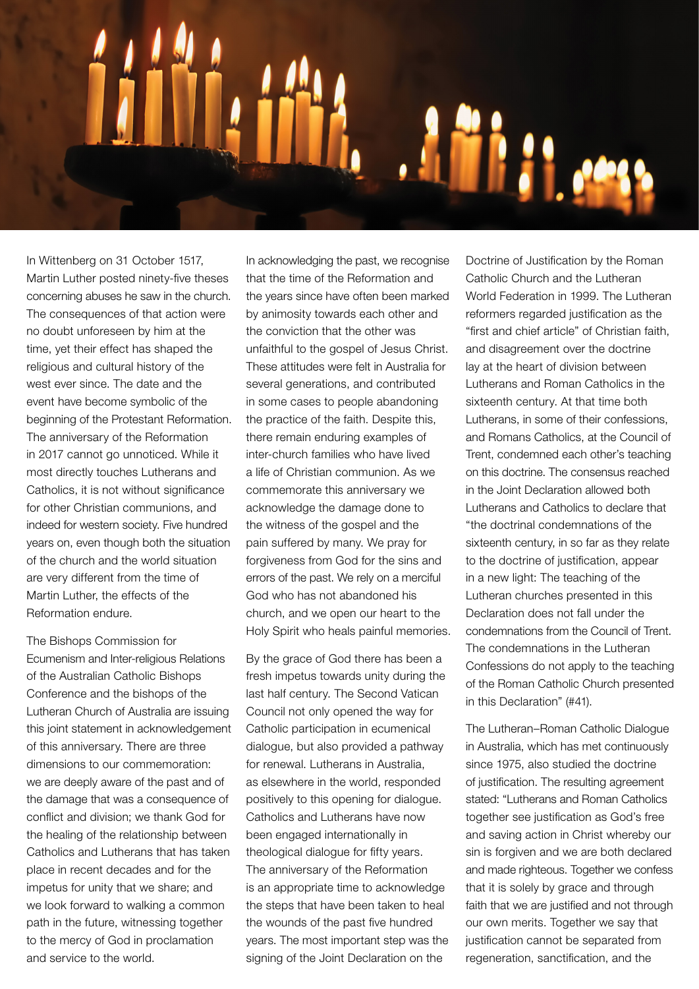

In Wittenberg on 31 October 1517, Martin Luther posted ninety-five theses concerning abuses he saw in the church. The consequences of that action were no doubt unforeseen by him at the time, yet their effect has shaped the religious and cultural history of the west ever since. The date and the event have become symbolic of the beginning of the Protestant Reformation. The anniversary of the Reformation in 2017 cannot go unnoticed. While it most directly touches Lutherans and Catholics, it is not without significance for other Christian communions, and indeed for western society. Five hundred years on, even though both the situation of the church and the world situation are very different from the time of Martin Luther, the effects of the Reformation endure.

The Bishops Commission for Ecumenism and Inter-religious Relations of the Australian Catholic Bishops Conference and the bishops of the Lutheran Church of Australia are issuing this joint statement in acknowledgement of this anniversary. There are three dimensions to our commemoration: we are deeply aware of the past and of the damage that was a consequence of conflict and division; we thank God for the healing of the relationship between Catholics and Lutherans that has taken place in recent decades and for the impetus for unity that we share; and we look forward to walking a common path in the future, witnessing together to the mercy of God in proclamation and service to the world.

In acknowledging the past, we recognise that the time of the Reformation and the years since have often been marked by animosity towards each other and the conviction that the other was unfaithful to the gospel of Jesus Christ. These attitudes were felt in Australia for several generations, and contributed in some cases to people abandoning the practice of the faith. Despite this, there remain enduring examples of inter-church families who have lived a life of Christian communion. As we commemorate this anniversary we acknowledge the damage done to the witness of the gospel and the pain suffered by many. We pray for forgiveness from God for the sins and errors of the past. We rely on a merciful God who has not abandoned his church, and we open our heart to the Holy Spirit who heals painful memories.

By the grace of God there has been a fresh impetus towards unity during the last half century. The Second Vatican Council not only opened the way for Catholic participation in ecumenical dialogue, but also provided a pathway for renewal. Lutherans in Australia, as elsewhere in the world, responded positively to this opening for dialogue. Catholics and Lutherans have now been engaged internationally in theological dialogue for fifty years. The anniversary of the Reformation is an appropriate time to acknowledge the steps that have been taken to heal the wounds of the past five hundred years. The most important step was the signing of the Joint Declaration on the

Doctrine of Justification by the Roman Catholic Church and the Lutheran World Federation in 1999. The Lutheran reformers regarded justification as the "first and chief article" of Christian faith, and disagreement over the doctrine lay at the heart of division between Lutherans and Roman Catholics in the sixteenth century. At that time both Lutherans, in some of their confessions, and Romans Catholics, at the Council of Trent, condemned each other's teaching on this doctrine. The consensus reached in the Joint Declaration allowed both Lutherans and Catholics to declare that "the doctrinal condemnations of the sixteenth century, in so far as they relate to the doctrine of justification, appear in a new light: The teaching of the Lutheran churches presented in this Declaration does not fall under the condemnations from the Council of Trent. The condemnations in the Lutheran Confessions do not apply to the teaching of the Roman Catholic Church presented in this Declaration" (#41).

The Lutheran–Roman Catholic Dialogue in Australia, which has met continuously since 1975, also studied the doctrine of justification. The resulting agreement stated: "Lutherans and Roman Catholics together see justification as God's free and saving action in Christ whereby our sin is forgiven and we are both declared and made righteous. Together we confess that it is solely by grace and through faith that we are justified and not through our own merits. Together we say that justification cannot be separated from regeneration, sanctification, and the